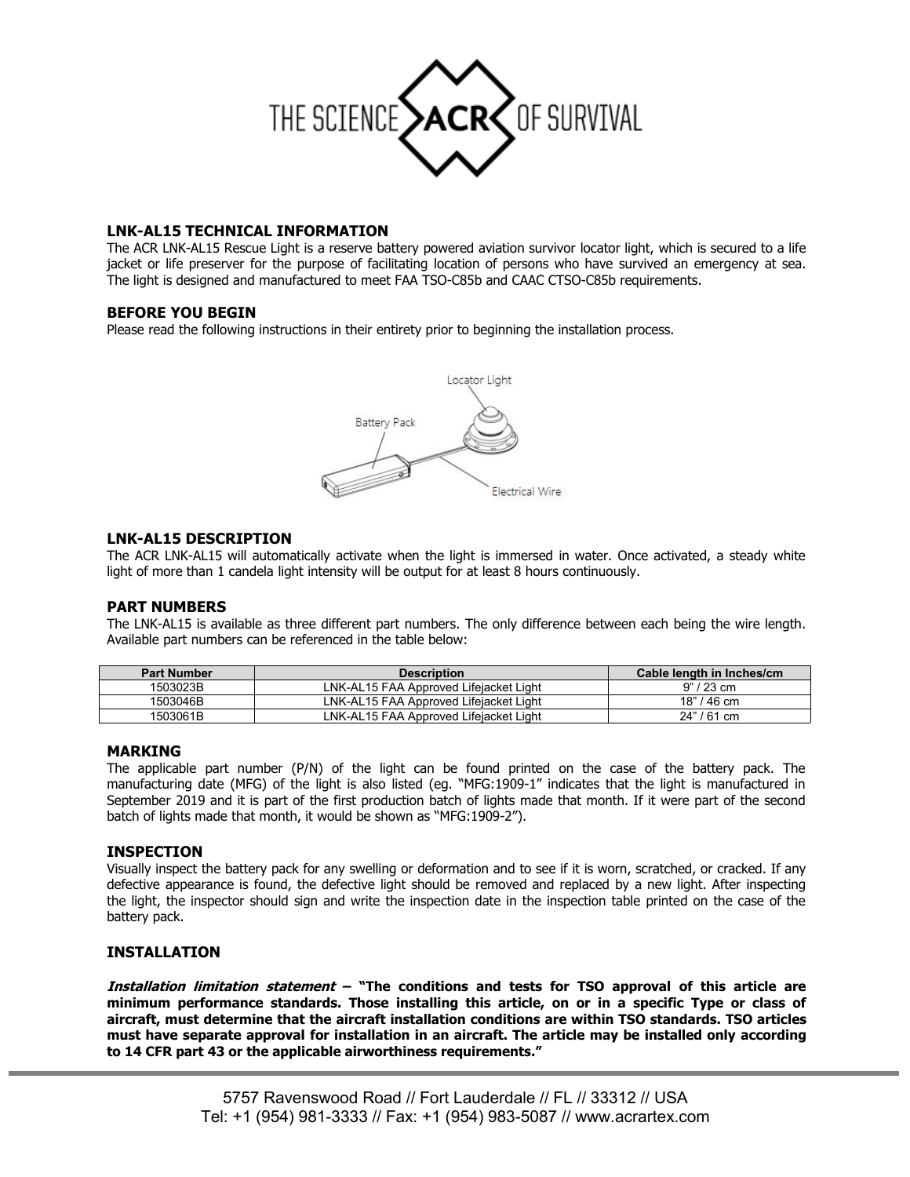

# **LNK-AL15 TECHNICAL INFORMATION**

The ACR LNK-AL15 Rescue Light is a reserve battery powered aviation survivor locator light, which is secured to a life jacket or life preserver for the purpose of facilitating location of persons who have survived an emergency at sea. The light is designed and manufactured to meet FAA TSO-C85b and CAAC CTSO-C85b requirements.

## **BEFORE YOU BEGIN**

Please read the following instructions in their entirety prior to beginning the installation process.



## **LNK-AL15 DESCRIPTION**

The ACR LNK-AL15 will automatically activate when the light is immersed in water. Once activated, a steady white light of more than 1 candela light intensity will be output for at least 8 hours continuously.

### **PART NUMBERS**

The LNK-AL15 is available as three different part numbers. The only difference between each being the wire length. Available part numbers can be referenced in the table below:

| <b>Part Number</b> | <b>Description</b>                     | Cable length in Inches/cm |
|--------------------|----------------------------------------|---------------------------|
| 503023B            | LNK-AL15 FAA Approved Lifeiacket Light | $9" / 23$ cm              |
| 1503046B           | LNK-AL15 FAA Approved Lifeiacket Light | 18" / 46 cm               |
| 1503061B           | LNK-AL15 FAA Approved Lifejacket Light | 24" / 61 cm               |

### **MARKING**

The applicable part number (P/N) of the light can be found printed on the case of the battery pack. The manufacturing date (MFG) of the light is also listed (eg. "MFG:1909-1" indicates that the light is manufactured in September 2019 and it is part of the first production batch of lights made that month. If it were part of the second batch of lights made that month, it would be shown as "MFG:1909-2").

### **INSPECTION**

Visually inspect the battery pack for any swelling or deformation and to see if it is worn, scratched, or cracked. If any defective appearance is found, the defective light should be removed and replaced by a new light. After inspecting the light, the inspector should sign and write the inspection date in the inspection table printed on the case of the battery pack.

### **INSTALLATION**

**Installation limitation statement – "The conditions and tests for TSO approval of this article are minimum performance standards. Those installing this article, on or in a specific Type or class of aircraft, must determine that the aircraft installation conditions are within TSO standards. TSO articles must have separate approval for installation in an aircraft. The article may be installed only according to 14 CFR part 43 or the applicable airworthiness requirements."**